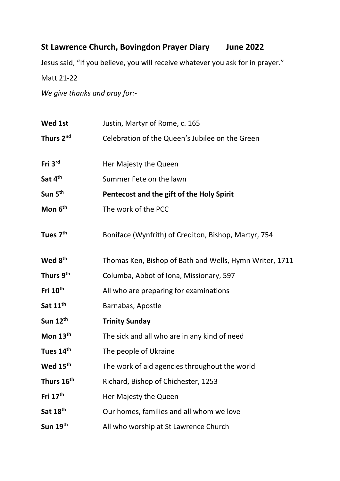## **St Lawrence Church, Bovingdon Prayer Diary June 2022**

Jesus said, "If you believe, you will receive whatever you ask for in prayer."

Matt 21-22

*We give thanks and pray for:-*

| Wed 1st               | Justin, Martyr of Rome, c. 165                          |
|-----------------------|---------------------------------------------------------|
| Thurs 2 <sup>nd</sup> | Celebration of the Queen's Jubilee on the Green         |
| Fri 3rd               | Her Majesty the Queen                                   |
| Sat 4th               | Summer Fete on the lawn                                 |
| Sun 5 <sup>th</sup>   | Pentecost and the gift of the Holy Spirit               |
| Mon 6 <sup>th</sup>   | The work of the PCC                                     |
| Tues 7 <sup>th</sup>  | Boniface (Wynfrith) of Crediton, Bishop, Martyr, 754    |
| Wed 8 <sup>th</sup>   | Thomas Ken, Bishop of Bath and Wells, Hymn Writer, 1711 |
| Thurs 9 <sup>th</sup> | Columba, Abbot of Iona, Missionary, 597                 |
| Fri 10 <sup>th</sup>  | All who are preparing for examinations                  |
| Sat 11 <sup>th</sup>  | Barnabas, Apostle                                       |
| Sun 12th              | <b>Trinity Sunday</b>                                   |
| Mon $13th$            | The sick and all who are in any kind of need            |
| Tues 14th             | The people of Ukraine                                   |
| Wed 15 <sup>th</sup>  | The work of aid agencies throughout the world           |
| Thurs 16th            | Richard, Bishop of Chichester, 1253                     |
| Fri 17th              | Her Majesty the Queen                                   |
| Sat 18th              | Our homes, families and all whom we love                |
| Sun 19th              | All who worship at St Lawrence Church                   |